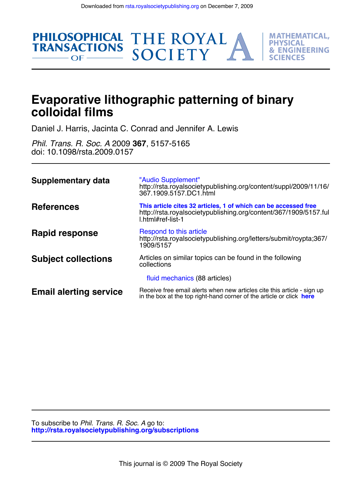THE ROYAL<br>SOCIETY

**MATHEMATICAL. PHYSICAL** 

**& ENGINEERING** 

FS



Daniel J. Harris, Jacinta C. Conrad and Jennifer A. Lewis

doi: 10.1098/rsta.2009.0157 *Phil. Trans. R. Soc. A* 2009 **367**, 5157-5165

**PHILOSOPHICAL** 

 $OF$  —

**TRANSACTIONS** 

| <b>Supplementary data</b>     | "Audio Supplement"<br>http://rsta.royalsocietypublishing.org/content/suppl/2009/11/16/<br>367.1909.5157.DC1.html                                         |
|-------------------------------|----------------------------------------------------------------------------------------------------------------------------------------------------------|
| <b>References</b>             | This article cites 32 articles, 1 of which can be accessed free<br>http://rsta.royalsocietypublishing.org/content/367/1909/5157.ful<br>l.html#ref-list-1 |
| Rapid response                | Respond to this article<br>http://rsta.royalsocietypublishing.org/letters/submit/roypta;367/<br>1909/5157                                                |
| <b>Subject collections</b>    | Articles on similar topics can be found in the following<br>collections                                                                                  |
|                               | fluid mechanics (88 articles)                                                                                                                            |
| <b>Email alerting service</b> | Receive free email alerts when new articles cite this article - sign up<br>in the box at the top right-hand corner of the article or click here          |

**<http://rsta.royalsocietypublishing.org/subscriptions>** To subscribe to *Phil. Trans. R. Soc. A* go to: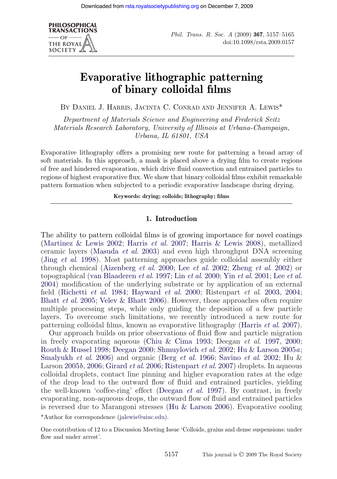

# **Evaporative lithographic patterning of binary colloidal films**

BY DANIEL J. HARRIS, JACINTA C. CONRAD AND JENNIFER A. LEWIS\*

*Department of Materials Science and Engineering and Frederick Seitz Materials Research Laboratory, University of Illinois at Urbana-Champaign, Urbana, IL 61801, USA*

Evaporative lithography offers a promising new route for patterning a broad array of soft materials. In this approach, a mask is placed above a drying film to create regions of free and hindered evaporation, which drive fluid convection and entrained particles to regions of highest evaporative flux. We show that binary colloidal films exhibit remarkable pattern formation when subjected to a periodic evaporative landscape during drying.

**Keywords: drying; colloids; lithography; films**

## **1. Introduction**

The ability to pattern colloidal films is of growing importance for novel coatings [\(Martinez & Lewis 2002;](#page-8-0) Harris *et al*[. 2007;](#page-8-1) [Harris & Lewis 2008\)](#page-8-2), metallized ceramic layers [\(Masuda](#page-8-3) *et al*. 2003) and even high throughput DNA screening (Jing *et al*[. 1998\)](#page-8-4). Most patterning approaches guide colloidal assembly either through chemical [\(Aizenberg](#page-8-5) *et al*. 2000; Lee *et al*[. 2002;](#page-8-6) Zheng *et al*[. 2002\)](#page-9-0) or topographical [\(van Blaaderen](#page-9-1) *et al*. 1997; Lin *et al*[. 2000;](#page-8-7) Yin *et al*[. 2001;](#page-9-2) Lee *[et al](#page-8-8)*. [2004\)](#page-8-8) modification of the underlying substrate or by application of an external field [\(Richetti](#page-8-9) *et al*. 1984; [Hayward](#page-8-10) *et al*. 2000; Ristenpart *et al*. [2003,](#page-8-11) [2004;](#page-9-3) Bhatt *et al*[. 2005;](#page-8-12) [Velev & Bhatt 2006\)](#page-9-4). However, those approaches often require multiple processing steps, while only guiding the deposition of a few particle layers. To overcome such limitations, we recently introduced a new route for patterning colloidal films, known as evaporative lithography [\(Harris](#page-8-1) *et al*. 2007).

Our approach builds on prior observations of fluid flow and particle migration in freely evaporating aqueous [\(Chiu & Cima 1993;](#page-8-13) Deegan *et al*. [1997,](#page-8-14) [2000;](#page-8-15) [Routh & Russel 1998;](#page-9-5) [Deegan 2000;](#page-8-16) [Shmuylovich](#page-9-6) *et al*. 2002; [Hu & Larson 2005](#page-8-17)*a*; [Smalyukh](#page-9-7) *et al*. 2006) and organic (Berg *et al*[. 1966;](#page-8-18) [Savino](#page-9-8) *et al*. 2002; Hu & Larson [2005](#page-8-19)*b*, [2006;](#page-8-20) [Girard](#page-8-21) *et al*. 2006; [Ristenpart](#page-9-9) *et al*. 2007) droplets. In aqueous colloidal droplets, contact line pinning and higher evaporation rates at the edge of the drop lead to the outward flow of fluid and entrained particles, yielding the well-known 'coffee-ring' effect [\(Deegan](#page-8-14) *et al*. 1997). By contrast, in freely evaporating, non-aqueous drops, the outward flow of fluid and entrained particles is reversed due to Marangoni stresses [\(Hu & Larson 2006\)](#page-8-20). Evaporative cooling

\*Author for correspondence [\(jalewis@uiuc.edu\)](mailto:jalewis@uiuc.edu).

One contribution of 12 to a Discussion Meeting Issue 'Colloids, grains and dense suspensions: under flow and under arrest'.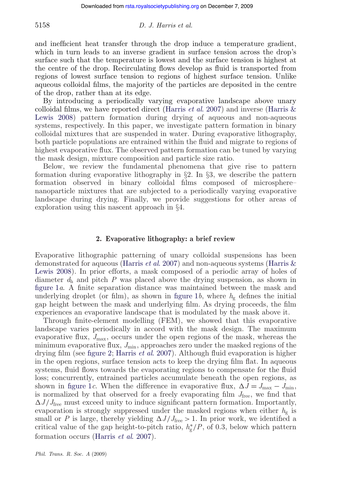and inefficient heat transfer through the drop induce a temperature gradient, which in turn leads to an inverse gradient in surface tension across the drop's surface such that the temperature is lowest and the surface tension is highest at the centre of the drop. Recirculating flows develop as fluid is transported from regions of lowest surface tension to regions of highest surface tension. Unlike aqueous colloidal films, the majority of the particles are deposited in the centre of the drop, rather than at its edge.

By introducing a periodically varying evaporative landscape above unary colloidal films, we have reported direct [\(Harris](#page-8-1) *et al*. 2007) and inverse [\(Harris &](#page-8-2) [Lewis 2008\)](#page-8-2) pattern formation during drying of aqueous and non-aqueous systems, respectively. In this paper, we investigate pattern formation in binary colloidal mixtures that are suspended in water. During evaporative lithography, both particle populations are entrained within the fluid and migrate to regions of highest evaporative flux. The observed pattern formation can be tuned by varying the mask design, mixture composition and particle size ratio.

Below, we review the fundamental phenomena that give rise to pattern formation during evaporative lithography in  $\S2$ . In  $\S3$ , we describe the pattern formation observed in binary colloidal films composed of microsphere– nanoparticle mixtures that are subjected to a periodically varying evaporative landscape during drying. Finally, we provide suggestions for other areas of exploration using this nascent approach in §4.

## **2. Evaporative lithography: a brief review**

Evaporative lithographic patterning of unary colloidal suspensions has been demonstrated for aqueous [\(Harris](#page-8-1) *et al*. 2007) and non-aqueous systems [\(Harris &](#page-8-2) [Lewis 2008\)](#page-8-2). In prior efforts, a mask composed of a periodic array of holes of diameter  $d_h$  and pitch P was placed above the drying suspension, as shown in [figure 1](#page-3-0)*a*. A finite separation distance was maintained between the mask and underlying droplet (or film), as shown in [figure 1](#page-3-0)b, where  $h_{g}$  defines the initial gap height between the mask and underlying film. As drying proceeds, the film experiences an evaporative landscape that is modulated by the mask above it.

Through finite-element modelling (FEM), we showed that this evaporative landscape varies periodically in accord with the mask design. The maximum evaporative flux,  $J_{\text{max}}$ , occurs under the open regions of the mask, whereas the minimum evaporative flux,  $J_{\text{min}}$ , approaches zero under the masked regions of the drying film (see [figure 2;](#page-3-1) [Harris](#page-8-1) *et al*. 2007). Although fluid evaporation is higher in the open regions, surface tension acts to keep the drying film flat. In aqueous systems, fluid flows towards the evaporating regions to compensate for the fluid loss; concurrently, entrained particles accumulate beneath the open regions, as shown in [figure 1](#page-3-0)*c*. When the difference in evaporative flux,  $\Delta J = J_{\text{max}} - J_{\text{min}}$ , is normalized by that observed for a freely evaporating film *J*free, we find that  $\Delta J/J_{\text{free}}$  must exceed unity to induce significant pattern formation. Importantly, evaporation is strongly suppressed under the masked regions when either  $h_{g}$  is small or *P* is large, thereby yielding  $\Delta J / J_{\text{free}} > 1$ . In prior work, we identified a critical value of the gap height-to-pitch ratio,  $h_g^*/P$ , of 0.3, below which pattern formation occurs [\(Harris](#page-8-1) *et al*. 2007).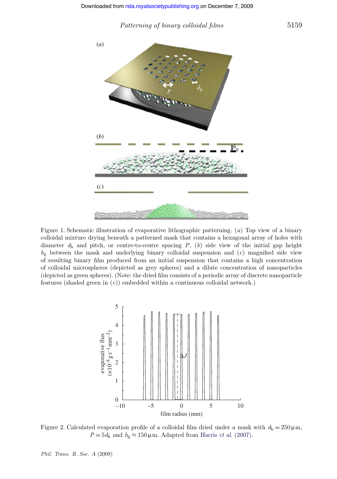*Patterning of binary colloidal films* 5159

<span id="page-3-0"></span>

<span id="page-3-1"></span>Figure 1. Schematic illustration of evaporative lithographic patterning. (*a*) Top view of a binary colloidal mixture drying beneath a patterned mask that contains a hexagonal array of holes with diameter  $d<sub>h</sub>$  and pitch, or centre-to-centre spacing  $P$ ,  $(b)$  side view of the initial gap height  $h_{g}$  between the mask and underlying binary colloidal suspension and  $(c)$  magnified side view of resulting binary film produced from an initial suspension that contains a high concentration of colloidal microspheres (depicted as grey spheres) and a dilute concentration of nanoparticles (depicted as green spheres). (Note: the dried film consists of a periodic array of discrete nanoparticle features (shaded green in (*c*)) embedded within a continuous colloidal network.)



Figure 2. Calculated evaporation profile of a colloidal film dried under a mask with  $d_h = 250 \,\mu \text{m}$ ,  $P = 5d_h$  and  $h_g \approx 150 \,\mu\text{m}$ . Adapted from Harris *et al.* (2007).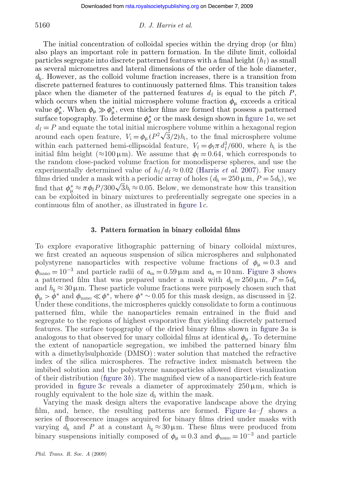The initial concentration of colloidal species within the drying drop (or film) also plays an important role in pattern formation. In the dilute limit, colloidal particles segregate into discrete patterned features with a final height  $(h_f)$  as small as several micrometres and lateral dimensions of the order of the hole diameter, *d*h. However, as the colloid volume fraction increases, there is a transition from discrete patterned features to continuously patterned films. This transition takes place when the diameter of the patterned features  $d_f$  is equal to the pitch  $P$ , which occurs when the initial microsphere volume fraction  $\phi_{\mu}$  exceeds a critical value  $\phi_{\mu}^*$ . When  $\phi_{\mu} \gg \phi_{\mu}^*$ , even thicker films are formed that possess a patterned surface topography. To determine  $\phi^*_{\mu}$  or the mask design shown in [figure 1](#page-3-0)*a*, we set  $d_f = P$  and equate the total initial microsphere volume within a hexagonal region around each open feature,  $V_i = \phi_\mu (P^2 \sqrt{3}/2) h_i$ , to the final microsphere volume within each patterned hemi-ellipsoidal feature,  $V_f = \phi_f \pi d_f^3 / 600$ , where  $h_i$  is the initial film height ( $\approx$ 100  $\mu$ m). We assume that  $\phi_f$  = 0.64, which corresponds to the random close-packed volume fraction for monodisperse spheres, and use the experimentally determined value of  $h_f/d_f \approx 0.02$  [\(Harris](#page-8-1) *et al.* 2007). For unary films dried under a mask with a periodic array of holes  $(d_h = 250 \,\mu\text{m}, P = 5 d_h)$ , we find that  $\phi_{\mu}^* \approx \pi \phi_f P / 300 \sqrt{3} h_i \approx 0.05$ . Below, we demonstrate how this transition can be exploited in binary mixtures to preferentially segregate one species in a continuous film of another, as illustrated in [figure 1](#page-3-0)*c*.

## **3. Pattern formation in binary colloidal films**

To explore evaporative lithographic patterning of binary colloidal mixtures, we first created an aqueous suspension of silica microspheres and sulphonated polystyrene nanoparticles with respective volume fractions of  $\phi_{\mu} = 0.3$  and  $\phi_{\text{nano}} = 10^{-3}$  and particle radii of  $a_m = 0.59 \,\mu \text{m}$  and  $a_n = 10 \,\text{nm}$ . [Figure 3](#page-6-0) shows a patterned film that was prepared under a mask with  $d_h = 250 \,\mu \text{m}$ ,  $P = 5d_h$ and  $h_g \approx 30 \,\mu \text{m}$ . These particle volume fractions were purposely chosen such that  $\phi_{\mu} > \bar{\phi}^*$  and  $\phi_{\text{nano}} \ll \phi^*$ , where  $\phi^* \sim 0.05$  for this mask design, as discussed in §2. Under these conditions, the microspheres quickly consolidate to form a continuous patterned film, while the nanoparticles remain entrained in the fluid and segregate to the regions of highest evaporative flux yielding discretely patterned features. The surface topography of the dried binary films shown in [figure 3](#page-6-0)*a* is analogous to that observed for unary colloidal films at identical  $\phi_{\mu}$ . To determine the extent of nanoparticle segregation, we imbibed the patterned binary film with a dimethylsulphoxide (DMSO) : water solution that matched the refractive index of the silica microspheres. The refractive index mismatch between the imbibed solution and the polystyrene nanoparticles allowed direct visualization of their distribution [\(figure 3](#page-6-0)*b*). The magnified view of a nanoparticle-rich feature provided in [figure 3](#page-6-0)c reveals a diameter of approximately  $250 \,\mu \text{m}$ , which is roughly equivalent to the hole size  $d<sub>h</sub>$  within the mask.

Varying the mask design alters the evaporative landscape above the drying film, and, hence, the resulting patterns are formed. [Figure 4](#page-6-1)*a*–*f* shows a series of fluorescence images acquired for binary films dried under masks with varying  $d_h$  and *P* at a constant  $h_g \approx 30 \,\mu \text{m}$ . These films were produced from binary suspensions initially composed of  $\phi_{\mu} = 0.3$  and  $\phi_{\text{nano}} = 10^{-3}$  and particle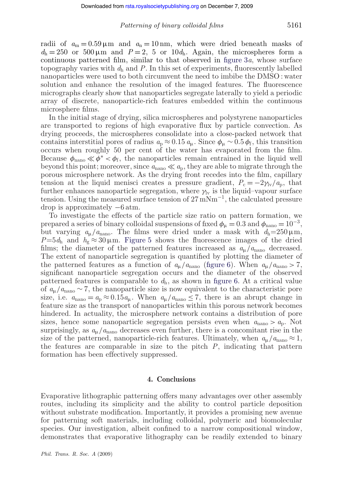#### *Patterning of binary colloidal films* 5161

radii of  $a_m = 0.59 \,\mu \text{m}$  and  $a_n = 10 \,\text{nm}$ , which were dried beneath masks of  $d_h = 250$  or  $500 \,\mu \text{m}$  and  $P = 2$ , 5 or  $10d_h$ . Again, the microspheres form a continuous patterned film, similar to that observed in [figure 3](#page-6-0)*a*, whose surface topography varies with  $d_h$  and P. In this set of experiments, fluorescently labelled nanoparticles were used to both circumvent the need to imbibe the DMSO : water solution and enhance the resolution of the imaged features. The fluorescence micrographs clearly show that nanoparticles segregate laterally to yield a periodic array of discrete, nanoparticle-rich features embedded within the continuous microsphere films.

In the initial stage of drying, silica microspheres and polystyrene nanoparticles are transported to regions of high evaporative flux by particle convection. As drying proceeds, the microspheres consolidate into a close-packed network that contains interstitial pores of radius  $a_p \approx 0.15 a_u$ . Since  $\phi_u \sim 0.5 \phi_f$ , this transition occurs when roughly 50 per cent of the water has evaporated from the film. Because  $\phi_{\text{nano}} \ll \phi^* \ll \phi_f$ , the nanoparticles remain entrained in the liquid well beyond this point; moreover, since  $a_{\text{mano}} \ll a_p$ , they are able to migrate through the porous microsphere network. As the drying front recedes into the film, capillary tension at the liquid menisci creates a pressure gradient,  $P_c = -2\gamma_v/a_p$ , that further enhances nanoparticle segregation, where  $\gamma_{\rm v}$  is the liquid–vapour surface tension. Using the measured surface tension of  $27 \text{ mNm}^{-1}$ , the calculated pressure drop is approximately −6 atm.

To investigate the effects of the particle size ratio on pattern formation, we prepared a series of binary colloidal suspensions of fixed  $\phi_{\mu} = 0.3$  and  $\phi_{\text{nano}} = 10^{-3}$ , but varying  $a_{\mu}/a_{\text{nano}}$ . The films were dried under a mask with  $d_{\text{h}}=250 \,\mu\text{m}$ ,  $P=5d_h$  and  $h_g \approx 30 \,\mu \text{m}$ . [Figure 5](#page-7-0) shows the fluorescence images of the dried films; the diameter of the patterned features increased as  $a_{\mu}/a_{\text{nano}}$  decreased. The extent of nanoparticle segregation is quantified by plotting the diameter of the patterned features as a function of  $a_{\mu}/a_{\text{nano}}$  [\(figure 6\)](#page-7-1). When  $a_{\mu}/a_{\text{nano}} > 7$ , significant nanoparticle segregation occurs and the diameter of the observed patterned features is comparable to  $d<sub>h</sub>$ , as shown in [figure 6.](#page-7-1) At a critical value of *a*µ/*a*nano ∼ 7, the nanoparticle size is now equivalent to the characteristic pore size, i.e.  $a_{\text{nano}} = a_p \approx 0.15 a_\mu$ . When  $a_\mu/a_{\text{nano}} \le 7$ , there is an abrupt change in feature size as the transport of nanoparticles within this porous network becomes hindered. In actuality, the microsphere network contains a distribution of pore sizes, hence some nanoparticle segregation persists even when  $a_{\text{nano}} > a_{\text{p}}$ . Not surprisingly, as  $a_{\mu}/a_{\text{nano}}$  decreases even further, there is a concomitant rise in the size of the patterned, nanoparticle-rich features. Ultimately, when  $a_{\mu}/a_{\text{nano}} \approx 1$ , the features are comparable in size to the pitch  $P$ , indicating that pattern formation has been effectively suppressed.

#### **4. Conclusions**

Evaporative lithographic patterning offers many advantages over other assembly routes, including its simplicity and the ability to control particle deposition without substrate modification. Importantly, it provides a promising new avenue for patterning soft materials, including colloidal, polymeric and biomolecular species. Our investigation, albeit confined to a narrow compositional window, demonstrates that evaporative lithography can be readily extended to binary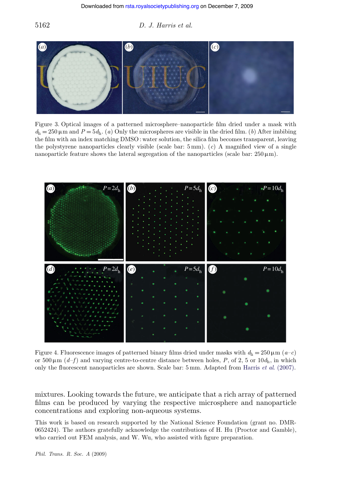<span id="page-6-0"></span>

<span id="page-6-1"></span>Figure 3. Optical images of a patterned microsphere–nanoparticle film dried under a mask with  $d_h = 250 \,\mu\text{m}$  and  $P = 5d_h$ . (*a*) Only the microspheres are visible in the dried film. (*b*) After imbibing the film with an index matching DMSO : water solution, the silica film becomes transparent, leaving the polystyrene nanoparticles clearly visible (scale bar: 5 mm). (*c*) A magnified view of a single nanoparticle feature shows the lateral segregation of the nanoparticles (scale bar:  $250 \,\mu\text{m}$ ).



Figure 4. Fluorescence images of patterned binary films dried under masks with  $d_h = 250 \,\mu \text{m}$  ( $a-c$ ) or  $500 \mu m$  (*d–f*) and varying centre-to-centre distance between holes, *P*, of 2, 5 or  $10d_h$ , in which only the fluorescent nanoparticles are shown. Scale bar: 5 mm. Adapted from Harris *et al*[. \(2007\).](#page-8-1)

mixtures. Looking towards the future, we anticipate that a rich array of patterned films can be produced by varying the respective microsphere and nanoparticle concentrations and exploring non-aqueous systems.

This work is based on research supported by the National Science Foundation (grant no. DMR-0652424). The authors gratefully acknowledge the contributions of H. Hu (Proctor and Gamble), who carried out FEM analysis, and W. Wu, who assisted with figure preparation.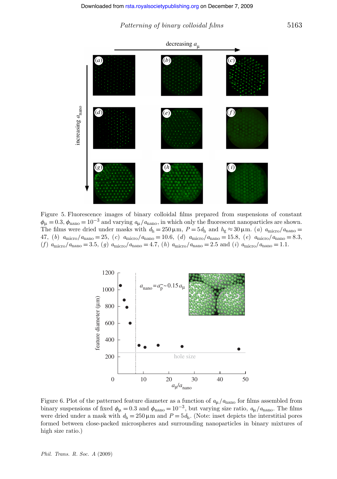*Patterning of binary colloidal films* 5163

decreasing *a*

<span id="page-7-0"></span>

<span id="page-7-1"></span>Figure 5. Fluorescence images of binary colloidal films prepared from suspensions of constant  $\phi_{\mu} = 0.3$ ,  $\phi_{\text{nano}} = 10^{-3}$  and varying  $a_{\mu}/a_{\text{nano}}$ , in which only the fluorescent nanoparticles are shown. The films were dried under masks with  $d_h = 250 \,\mu \text{m}$ ,  $P = 5d_h$  and  $h_g \approx 30 \,\mu \text{m}$ . (*a*)  $a_{\text{micro}}/a_{\text{nano}} =$ 47, (*b*) *a*micro/*a*nano = 25, (*c*) *a*micro/*a*nano = 10.6, (*d*) *a*micro/*a*nano = 15.8, (*e*) *a*micro/*a*nano = 8.3,  $(f)$   $a_{\text{micro}}/a_{\text{nano}} = 3.5$ ,  $(g)$   $a_{\text{micro}}/a_{\text{nano}} = 4.7$ ,  $(h)$   $a_{\text{micro}}/a_{\text{nano}} = 2.5$  and  $(i)$   $a_{\text{micro}}/a_{\text{nano}} = 1.1$ .



Figure 6. Plot of the patterned feature diameter as a function of  $a_{\mu}/a_{\text{nano}}$  for films assembled from binary suspensions of fixed  $\phi_{\mu} = 0.3$  and  $\phi_{\text{nano}} = 10^{-3}$ , but varying size ratio,  $a_{\mu}/a_{\text{nano}}$ . The films were dried under a mask with  $d_h = 250 \,\mu \text{m}$  and  $P = 5d_h$ . (Note: inset depicts the interstitial pores formed between close-packed microspheres and surrounding nanoparticles in binary mixtures of high size ratio.)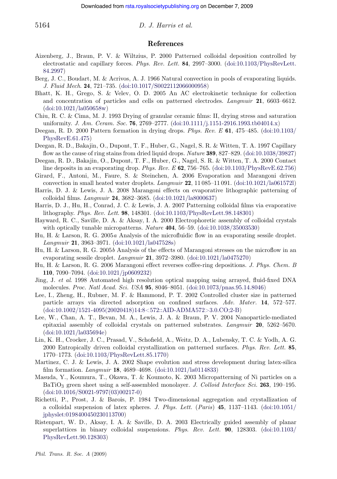### **References**

- <span id="page-8-5"></span>Aizenberg, J., Braun, P. V. & Wiltzius, P. 2000 Patterned colloidal deposition controlled by electrostatic and capillary forces. *Phys. Rev. Lett.* **84**, 2997–3000. [\(doi:10.1103/PhysRevLett.](http://dx.doi.org/doi:10.1103/PhysRevLett.84.2997) [84.2997\)](http://dx.doi.org/doi:10.1103/PhysRevLett.84.2997)
- <span id="page-8-18"></span>Berg, J. C., Boudart, M. & Acrivos, A. J. 1966 Natural convection in pools of evaporating liquids. *J. Fluid Mech*. **24**, 721–735. [\(doi:10.1017/S0022112066000958\)](http://dx.doi.org/doi:10.1017/S0022112066000958)
- <span id="page-8-12"></span>Bhatt, K. H., Grego, S. & Velev, O. D. 2005 An AC electrokinetic technique for collection and concentration of particles and cells on patterned electrodes. *Langmuir* **21**, 6603–6612. [\(doi:10.1021/la050658w\)](http://dx.doi.org/doi:10.1021/la050658w)
- <span id="page-8-13"></span>Chiu, R. C. & Cima, M. J. 1993 Drying of granular ceramic films: II, drying stress and saturation uniformity. *J. Am. Ceram. Soc.* **76**, 2769–2777. [\(doi:10.1111/j.1151-2916.1993.tb04014.x\)](http://dx.doi.org/doi:10.1111/j.1151-2916.1993.tb04014.x)
- <span id="page-8-16"></span>Deegan, R. D. 2000 Pattern formation in drying drops. *Phys. Rev. E* **61**, 475–485. [\(doi:10.1103/](http://dx.doi.org/doi:10.1103/PhysRevE.61.475) [PhysRevE.61.475\)](http://dx.doi.org/doi:10.1103/PhysRevE.61.475)
- <span id="page-8-14"></span>Deegan, R. D., Bakajin, O., Dupont, T. F., Huber, G., Nagel, S. R. & Witten, T. A. 1997 Capillary flow as the cause of ring stains from dried liquid drops. *Nature* **389**, 827–829. [\(doi:10.1038/39827\)](http://dx.doi.org/doi:10.1038/39827)
- <span id="page-8-15"></span>Deegan, R. D., Bakajin, O., Dupont, T. F., Huber, G., Nagel, S. R. & Witten, T. A. 2000 Contact line deposits in an evaporating drop. *Phys. Rev. E* **62**, 756–765. [\(doi:10.1103/PhysRevE.62.756\)](http://dx.doi.org/doi:10.1103/PhysRevE.62.756)
- <span id="page-8-21"></span>Girard, F., Antoni, M., Faure, S. & Steinchen, A. 2006 Evaporation and Marangoni driven convection in small heated water droplets. *Langmuir* **22**, 11 085–11 091. [\(doi:10.1021/la061572l\)](http://dx.doi.org/doi:10.1021/la061572l)
- <span id="page-8-2"></span>Harris, D. J. & Lewis, J. A. 2008 Marangoni effects on evaporative lithographic patterning of colloidal films. *Langmuir* **24**, 3682–3685. [\(doi:10.1021/la8000637\)](http://dx.doi.org/doi:10.1021/la8000637)
- <span id="page-8-1"></span>Harris, D. J., Hu, H., Conrad, J. C. & Lewis, J. A. 2007 Patterning colloidal films via evaporative lithography. *Phys. Rev. Lett*. **98**, 148301. [\(doi:10.1103/PhysRevLett.98.148301\)](http://dx.doi.org/doi:10.1103/PhysRevLett.98.148301)
- <span id="page-8-10"></span>Hayward, R. C., Saville, D. A. & Aksay, I. A. 2000 Electrophoretic assembly of colloidal crystals with optically tunable micropatterns. *Nature* **404**, 56–59. [\(doi:10.1038/35003530\)](http://dx.doi.org/doi:10.1038/35003530)
- <span id="page-8-17"></span>Hu, H. & Larson, R. G. 2005*a* Analysis of the microfluidic flow in an evaporating sessile droplet. *Langmuir* **21**, 3963–3971. [\(doi:10.1021/la047528s\)](http://dx.doi.org/doi:10.1021/la047528s)
- <span id="page-8-19"></span>Hu, H. & Larson, R. G. 2005*b* Analysis of the effects of Marangoni stresses on the microflow in an evaporating sessile droplet. *Langmuir* **21**, 3972–3980. [\(doi:10.1021/la0475270\)](http://dx.doi.org/doi:10.1021/la0475270)
- <span id="page-8-20"></span>Hu, H. & Larson, R. G. 2006 Marangoni effect reverses coffee-ring depositions. *J. Phys. Chem. B* **110**, 7090–7094. [\(doi:10.1021/jp0609232\)](http://dx.doi.org/doi:10.1021/jp0609232)
- <span id="page-8-4"></span>Jing, J. *et al*. 1998 Automated high resolution optical mapping using arrayed, fluid-fixed DNA molecules. *Proc. Natl Acad. Sci. USA* **95**, 8046–8051. [\(doi:10.1073/pnas.95.14.8046\)](http://dx.doi.org/doi:10.1073/pnas.95.14.8046)
- <span id="page-8-6"></span>Lee, I., Zheng, H., Rubner, M. F. & Hammond, P. T. 2002 Controlled cluster size in patterned particle arrays via directed adsorption on confined surfaces. *Adv. Mater.* **14**, 572–577. (doi:10.1002/1521-4095(20020418)14:8<572::AID-ADMA572>3.0.CO;2-B)
- <span id="page-8-8"></span>Lee, W., Chan, A. T., Bevan, M. A., Lewis, J. A. & Braun, P. V. 2004 Nanoparticle-mediated epitaxial assembly of colloidal crystals on patterned substrates. *Langmuir* **20**, 5262–5670. [\(doi:10.1021/la035694e\)](http://dx.doi.org/doi:10.1021/la035694e)
- <span id="page-8-7"></span>Lin, K. H., Crocker, J. C., Prasad, V., Schofield, A., Weitz, D. A., Lubensky, T. C. & Yodh, A. G. 2000 Entropically driven colloidal crystallization on patterned surfaces. *Phys. Rev. Lett.* **85**, 1770–1773. [\(doi:10.1103/PhysRevLett.85.1770\)](http://dx.doi.org/doi:10.1103/PhysRevLett.85.1770)
- <span id="page-8-0"></span>Martinez, C. J. & Lewis, J. A. 2002 Shape evolution and stress development during latex-silica film formation. *Langmuir* **18**, 4689–4698. [\(doi:10.1021/la0114833\)](http://dx.doi.org/doi:10.1021/la0114833)
- <span id="page-8-3"></span>Masuda, Y., Koumura, T., Okawa, T. & Koumoto, K. 2003 Micropatterning of Ni particles on a BaTiO3 green sheet using a self-assembled monolayer. *J. Colloid Interface Sci.* **263**, 190–195. [\(doi:10.1016/S0021-9797\(03\)00217-0\)](http://dx.doi.org/doi:10.1016/S0021-9797(03)00217-0)
- <span id="page-8-9"></span>Richetti, P., Prost, J. & Barois, P. 1984 Two-dimensional aggregation and crystallization of a colloidal suspension of latex spheres. *J. Phys. Lett.* (*Paris*) **45**, 1137–1143. [\(doi:10.1051/](http://dx.doi.org/doi:10.1051/jphyslet:0198400450230113700) [jphyslet:0198400450230113700\)](http://dx.doi.org/doi:10.1051/jphyslet:0198400450230113700)
- <span id="page-8-11"></span>Ristenpart, W. D., Aksay, I. A. & Saville, D. A. 2003 Electrically guided assembly of planar superlattices in binary colloidal suspensions. *Phys*. *Rev. Lett.* **90**, 128303. [\(doi:10.1103/](http://dx.doi.org/doi:10.1103/PhysRevLett.90.128303) [PhysRevLett.90.128303\)](http://dx.doi.org/doi:10.1103/PhysRevLett.90.128303)